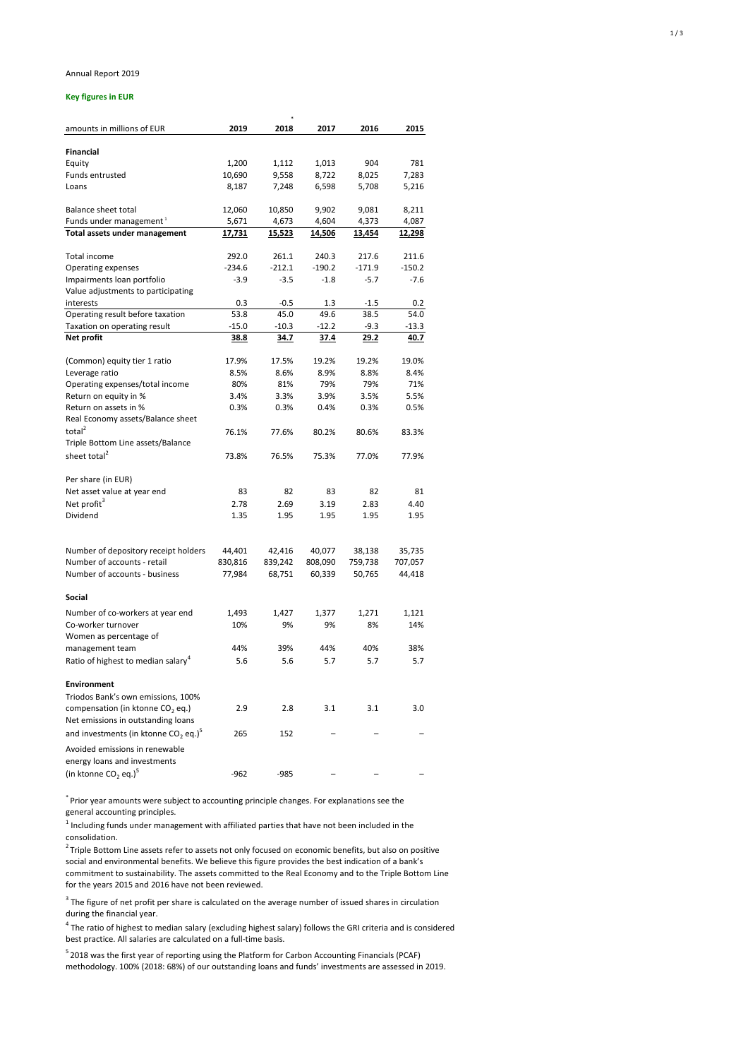## Annual Report 2019

## **Key figures in EUR**

|                                                    |               | $\ast$         |               |             |               |  |
|----------------------------------------------------|---------------|----------------|---------------|-------------|---------------|--|
| amounts in millions of EUR                         | 2019          | 2018           | 2017          | 2016        | 2015          |  |
|                                                    |               |                |               |             |               |  |
| <b>Financial</b>                                   |               |                |               |             |               |  |
| Equity<br><b>Funds entrusted</b>                   | 1,200         | 1,112          | 1,013         | 904         | 781           |  |
| Loans                                              | 10,690        | 9,558<br>7,248 | 8,722         | 8,025       | 7,283         |  |
|                                                    | 8,187         |                | 6,598         | 5,708       | 5,216         |  |
| <b>Balance sheet total</b>                         | 12,060        | 10,850         | 9,902         | 9,081       | 8,211         |  |
| Funds under management <sup>1</sup>                | 5,671         | 4,673          | 4,604         | 4,373       | 4,087         |  |
| <b>Total assets under management</b>               | <u>17,731</u> | <u>15,523</u>  | <u>14,506</u> | 13,454      | <u>12,298</u> |  |
| Total income                                       | 292.0         | 261.1          | 240.3         | 217.6       | 211.6         |  |
| <b>Operating expenses</b>                          | $-234.6$      | $-212.1$       | $-190.2$      | $-171.9$    | $-150.2$      |  |
| Impairments loan portfolio                         | $-3.9$        | $-3.5$         | $-1.8$        | $-5.7$      | $-7.6$        |  |
| Value adjustments to participating                 |               |                |               |             |               |  |
| interests                                          | 0.3           | $-0.5$         | 1.3           | $-1.5$      | 0.2           |  |
| Operating result before taxation                   | 53.8          | 45.0           | 49.6          | 38.5        | 54.0          |  |
| Taxation on operating result                       | $-15.0$       | $-10.3$        | $-12.2$       | $-9.3$      | $-13.3$       |  |
| <b>Net profit</b>                                  | <u>38.8</u>   | <u>34.7</u>    | <u>37.4</u>   | <u>29.2</u> | 40.7          |  |
|                                                    |               |                |               |             |               |  |
| (Common) equity tier 1 ratio                       | 17.9%         | 17.5%          | 19.2%         | 19.2%       | 19.0%         |  |
| Leverage ratio                                     | 8.5%          | 8.6%           | 8.9%          | 8.8%        | 8.4%          |  |
| Operating expenses/total income                    | 80%           | 81%            | 79%           | 79%         | 71%           |  |
| Return on equity in %                              | 3.4%          | 3.3%           | 3.9%          | 3.5%        | 5.5%          |  |
| Return on assets in %                              | 0.3%          | 0.3%           | 0.4%          | 0.3%        | 0.5%          |  |
| Real Economy assets/Balance sheet                  |               |                |               |             |               |  |
| total $^{2}$                                       | 76.1%         | 77.6%          | 80.2%         | 80.6%       | 83.3%         |  |
| Triple Bottom Line assets/Balance                  |               |                |               |             |               |  |
| sheet total <sup>2</sup>                           | 73.8%         | 76.5%          | 75.3%         | 77.0%       | 77.9%         |  |
|                                                    |               |                |               |             |               |  |
| Per share (in EUR)                                 |               |                |               |             |               |  |
| Net asset value at year end                        | 83            | 82             | 83            | 82          | 81            |  |
| Net profit <sup>3</sup>                            | 2.78          | 2.69           | 3.19          | 2.83        | 4.40          |  |
| Dividend                                           | 1.35          | 1.95           | 1.95          | 1.95        | 1.95          |  |
|                                                    |               |                |               |             |               |  |
| Number of depository receipt holders               | 44,401        | 42,416         | 40,077        | 38,138      | 35,735        |  |
| Number of accounts - retail                        | 830,816       | 839,242        | 808,090       | 759,738     | 707,057       |  |
| Number of accounts - business                      | 77,984        | 68,751         | 60,339        | 50,765      | 44,418        |  |
| <b>Social</b>                                      |               |                |               |             |               |  |
|                                                    |               |                |               |             |               |  |
| Number of co-workers at year end                   | 1,493         | 1,427          | 1,377         | 1,271       | 1,121         |  |
| Co-worker turnover                                 | 10%           | 9%             | 9%            | 8%          | 14%           |  |
| Women as percentage of                             |               |                |               |             |               |  |
| management team                                    | 44%           | 39%            | 44%           | 40%         | 38%           |  |
| Ratio of highest to median salary <sup>4</sup>     | 5.6           | 5.6            | 5.7           | 5.7         | 5.7           |  |
| <b>Environment</b>                                 |               |                |               |             |               |  |
| Triodos Bank's own emissions, 100%                 |               |                |               |             |               |  |
| compensation (in ktonne $CO2$ eq.)                 | 2.9           | 2.8            | 3.1           | 3.1         | 3.0           |  |
| Net emissions in outstanding loans                 |               |                |               |             |               |  |
|                                                    |               |                |               |             |               |  |
| and investments (in ktonne $CO2$ eq.) <sup>5</sup> | 265           | 152            |               |             |               |  |
| Avoided emissions in renewable                     |               |                |               |             |               |  |
| energy loans and investments                       |               |                |               |             |               |  |
| (in ktonne CO <sub>2</sub> eq.) <sup>5</sup>       | $-962$        | $-985$         |               |             |               |  |

 $<sup>1</sup>$  Including funds under management with affiliated parties that have not been included in the</sup> consolidation.

 $3$  The figure of net profit per share is calculated on the average number of issued shares in circulation during the financial year.

 $2$ Triple Bottom Line assets refer to assets not only focused on economic benefits, but also on positive social and environmental benefits. We believe this figure provides the best indication of a bank's commitment to sustainability. The assets committed to the Real Economy and to the Triple Bottom Line for the years 2015 and 2016 have not been reviewed.

 $^4$  The ratio of highest to median salary (excluding highest salary) follows the GRI criteria and is considered best practice. All salaries are calculated on a full-time basis.

<sup>5</sup>2018 was the first year of reporting using the Platform for Carbon Accounting Financials (PCAF) methodology. 100% (2018: 68%) of our outstanding loans and funds' investments are assessed in 2019.

\* Prior year amounts were subject to accounting principle changes. For explanations see the general accounting principles.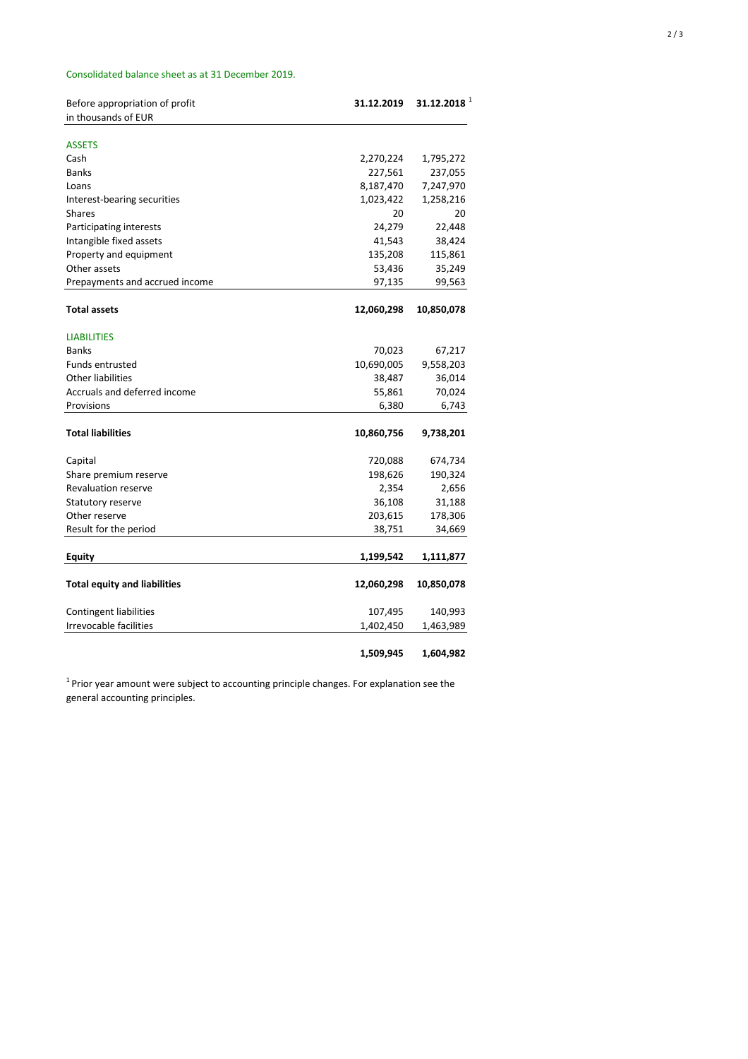## Consolidated balance sheet as at 31 December 2019.

| Before appropriation of profit      | 31.12.2019 | $31.12.2018$ <sup>1</sup> |
|-------------------------------------|------------|---------------------------|
| in thousands of EUR                 |            |                           |
|                                     |            |                           |
| <b>ASSETS</b>                       |            |                           |
| Cash                                | 2,270,224  | 1,795,272                 |
| <b>Banks</b>                        | 227,561    | 237,055                   |
| Loans                               | 8,187,470  | 7,247,970                 |
| Interest-bearing securities         | 1,023,422  | 1,258,216                 |
| <b>Shares</b>                       | 20         | 20                        |
| Participating interests             | 24,279     | 22,448                    |
| Intangible fixed assets             | 41,543     | 38,424                    |
| Property and equipment              | 135,208    | 115,861                   |
| Other assets                        | 53,436     | 35,249                    |
| Prepayments and accrued income      | 97,135     | 99,563                    |
|                                     |            |                           |
| <b>Total assets</b>                 | 12,060,298 | 10,850,078                |
| <b>LIABILITIES</b>                  |            |                           |
| <b>Banks</b>                        |            |                           |
| <b>Funds entrusted</b>              | 70,023     | 67,217                    |
|                                     | 10,690,005 | 9,558,203                 |
| <b>Other liabilities</b>            | 38,487     | 36,014                    |
| Accruals and deferred income        | 55,861     | 70,024                    |
| Provisions                          | 6,380      | 6,743                     |
| <b>Total liabilities</b>            | 10,860,756 | 9,738,201                 |
| Capital                             | 720,088    | 674,734                   |
| Share premium reserve               | 198,626    | 190,324                   |
| <b>Revaluation reserve</b>          | 2,354      | 2,656                     |
| <b>Statutory reserve</b>            | 36,108     | 31,188                    |
| Other reserve                       | 203,615    | 178,306                   |
| Result for the period               | 38,751     | 34,669                    |
|                                     |            |                           |
| <b>Equity</b>                       | 1,199,542  | 1,111,877                 |
| <b>Total equity and liabilities</b> | 12,060,298 | 10,850,078                |
|                                     |            |                           |
| <b>Contingent liabilities</b>       | 107,495    | 140,993                   |
| <b>Irrevocable facilities</b>       | 1,402,450  | 1,463,989                 |
|                                     | 1,509,945  | 1,604,982                 |

 $1$ Prior year amount were subject to accounting principle changes. For explanation see the

general accounting principles.